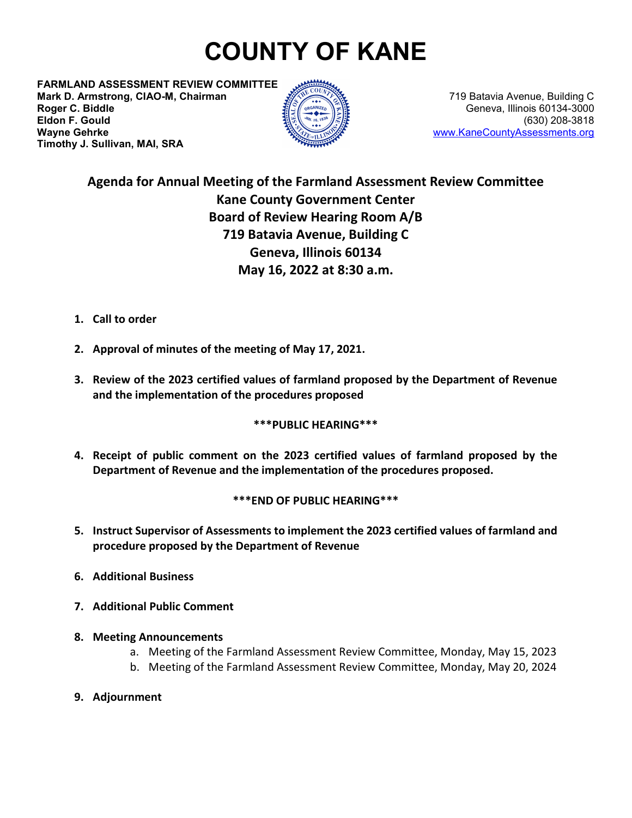# **COUNTY OF KANE**

**FARMLAND ASSESSMENT REVIEW COMMITTEE Mark D. Armstrong, CIAO-M, Chairman** 779 Batavia Avenue, Building C **Roger C. Biddle** Geneva, Illinois 60134-3000 **Eldon F. Gould<br>Wayne Gehrke Timothy J. Sullivan, MAI, SRA**



**Wayne Gehrke** [www.KaneCountyAssessments.org](http://www.kanecountyassessments.org/)

## **Agenda for Annual Meeting of the Farmland Assessment Review Committee Kane County Government Center Board of Review Hearing Room A/B 719 Batavia Avenue, Building C Geneva, Illinois 60134 May 16, 2022 at 8:30 a.m.**

- **1. Call to order**
- **2. Approval of minutes of the meeting of May 17, 2021.**
- **3. Review of the 2023 certified values of farmland proposed by the Department of Revenue and the implementation of the procedures proposed**

#### **\*\*\*PUBLIC HEARING\*\*\***

**4. Receipt of public comment on the 2023 certified values of farmland proposed by the Department of Revenue and the implementation of the procedures proposed.**

#### **\*\*\*END OF PUBLIC HEARING\*\*\***

- **5. Instruct Supervisor of Assessments to implement the 2023 certified values of farmland and procedure proposed by the Department of Revenue**
- **6. Additional Business**
- **7. Additional Public Comment**
- **8. Meeting Announcements**
	- a. Meeting of the Farmland Assessment Review Committee, Monday, May 15, 2023
	- b. Meeting of the Farmland Assessment Review Committee, Monday, May 20, 2024
- **9. Adjournment**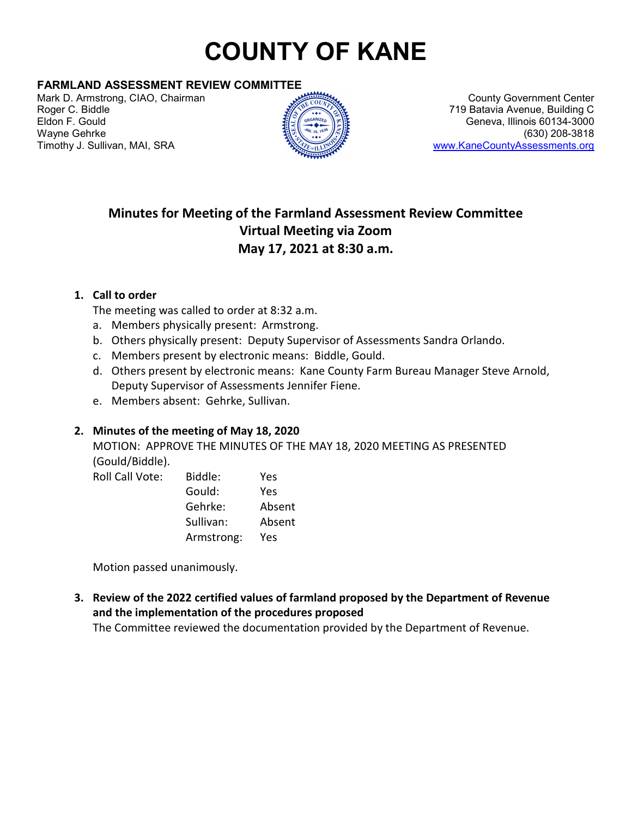# **COUNTY OF KANE**

#### **FARMLAND ASSESSMENT REVIEW COMMITTEE**

Mark D. Armstrong, CIAO, Chairman Mark D. Armstrong, CIAO, Chairman County Government Center<br>Roger C. Biddle Mark 2009, County Government Center Roger C. Biddle Eldon F. Gould Geneva, Illinois 60134-3000 Wayne Gehrke (630) 208-3818



719 Batavia Avenue, Building C. [www.KaneCountyAssessments.org](http://www.kanecountyassessments.org/)

## **Minutes for Meeting of the Farmland Assessment Review Committee Virtual Meeting via Zoom May 17, 2021 at 8:30 a.m.**

#### **1. Call to order**

The meeting was called to order at 8:32 a.m.

- a. Members physically present: Armstrong.
- b. Others physically present: Deputy Supervisor of Assessments Sandra Orlando.
- c. Members present by electronic means: Biddle, Gould.
- d. Others present by electronic means: Kane County Farm Bureau Manager Steve Arnold, Deputy Supervisor of Assessments Jennifer Fiene.
- e. Members absent: Gehrke, Sullivan.

### **2. Minutes of the meeting of May 18, 2020**

MOTION: APPROVE THE MINUTES OF THE MAY 18, 2020 MEETING AS PRESENTED (Gould/Biddle).

| <b>Roll Call Vote:</b> | Biddle:    | Yes    |
|------------------------|------------|--------|
|                        | Gould:     | Yes    |
|                        | Gehrke:    | Absent |
|                        | Sullivan:  | Absent |
|                        | Armstrong: | Yes    |

Motion passed unanimously.

**3. Review of the 2022 certified values of farmland proposed by the Department of Revenue and the implementation of the procedures proposed**

The Committee reviewed the documentation provided by the Department of Revenue.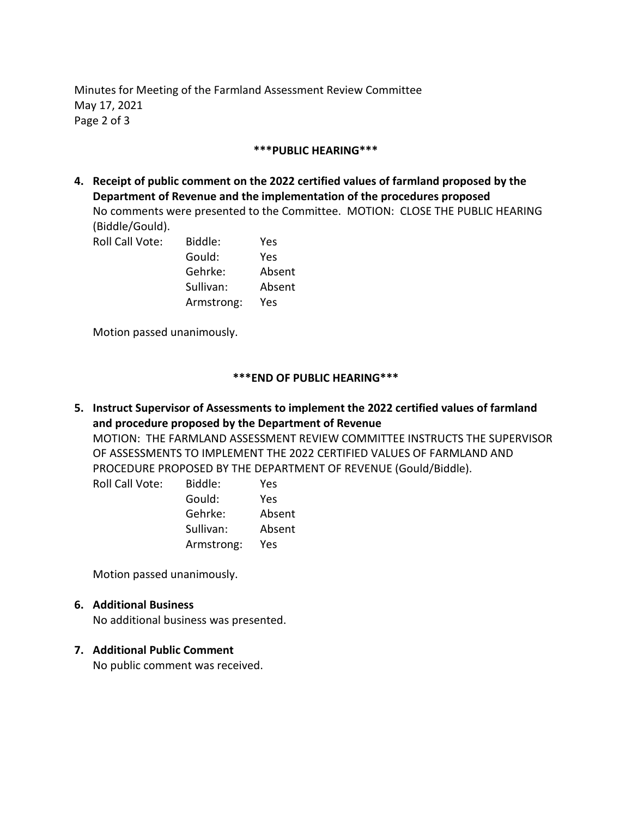Minutes for Meeting of the Farmland Assessment Review Committee May 17, 2021 Page 2 of 3

#### **\*\*\*PUBLIC HEARING\*\*\***

**4. Receipt of public comment on the 2022 certified values of farmland proposed by the Department of Revenue and the implementation of the procedures proposed** No comments were presented to the Committee. MOTION: CLOSE THE PUBLIC HEARING (Biddle/Gould).

| Roll Call Vote: | Biddle:    | Yes    |
|-----------------|------------|--------|
|                 | Gould:     | Yes    |
|                 | Gehrke:    | Absent |
|                 | Sullivan:  | Absent |
|                 | Armstrong: | Yes    |
|                 |            |        |

Motion passed unanimously.

#### **\*\*\*END OF PUBLIC HEARING\*\*\***

**5. Instruct Supervisor of Assessments to implement the 2022 certified values of farmland and procedure proposed by the Department of Revenue**  MOTION: THE FARMLAND ASSESSMENT REVIEW COMMITTEE INSTRUCTS THE SUPERVISOR OF ASSESSMENTS TO IMPLEMENT THE 2022 CERTIFIED VALUES OF FARMLAND AND PROCEDURE PROPOSED BY THE DEPARTMENT OF REVENUE (Gould/Biddle).

| Biddle:    | Yes    |
|------------|--------|
| Gould:     | Yes    |
| Gehrke:    | Absent |
| Sullivan:  | Absent |
| Armstrong: | Yes    |
|            |        |

Motion passed unanimously.

#### **6. Additional Business**

No additional business was presented.

#### **7. Additional Public Comment**

No public comment was received.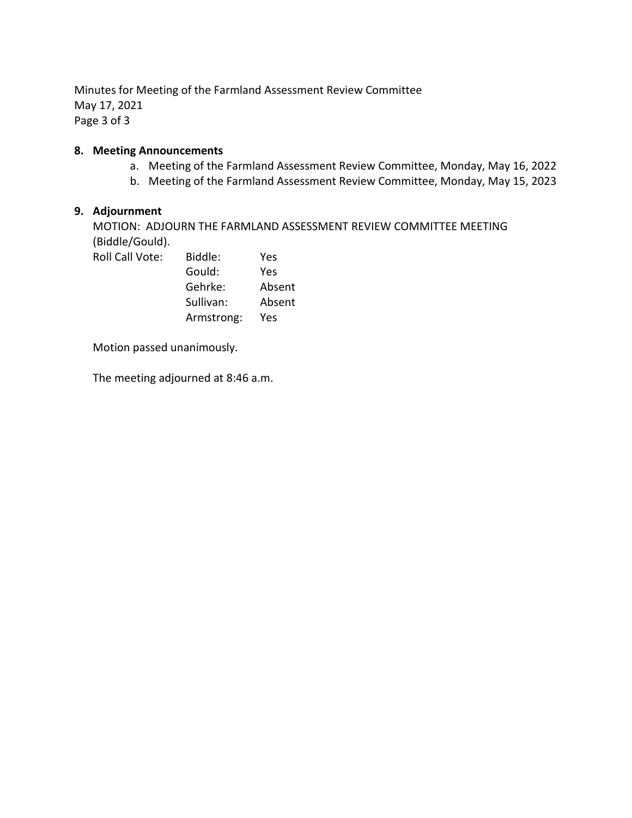Minutes for Meeting of the Farmland Assessment Review Committee May 17, 2021 Page 3 of 3

#### **8. Meeting Announcements**

- a. Meeting of the Farmland Assessment Review Committee, Monday, May 16, 2022
- b. Meeting of the Farmland Assessment Review Committee, Monday, May 15, 2023

#### **9. Adjournment**

MOTION: ADJOURN THE FARMLAND ASSESSMENT REVIEW COMMITTEE MEETING (Biddle/Gould).

| Roll Call Vote: | Biddle:    | Yes    |
|-----------------|------------|--------|
|                 | Gould:     | Yes    |
|                 | Gehrke:    | Absent |
|                 | Sullivan:  | Absent |
|                 | Armstrong: | Yes    |

Motion passed unanimously.

The meeting adjourned at 8:46 a.m.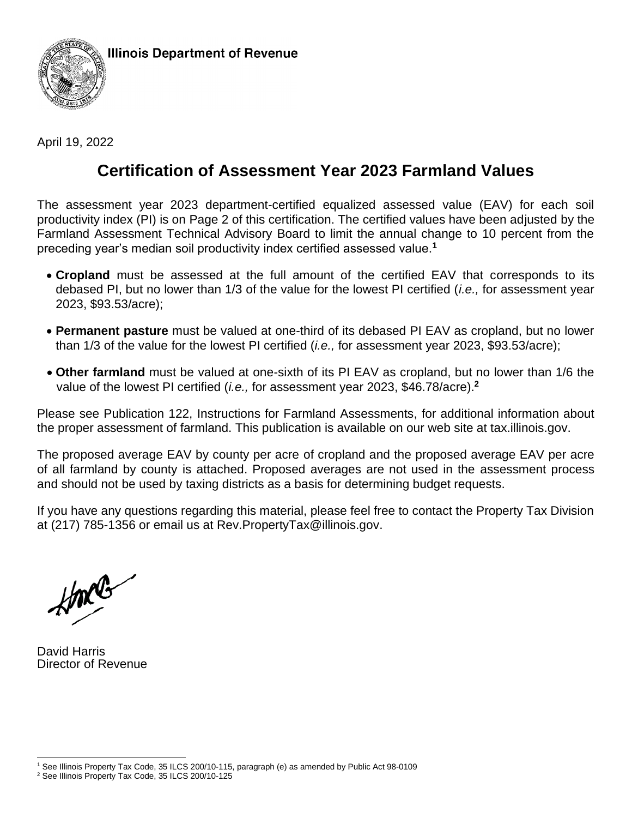

April 19, 2022

# **Certification of Assessment Year 2023 Farmland Values**

The assessment year 2023 department-certified equalized assessed value (EAV) for each soil productivity index (PI) is on Page 2 of this certification. The certified values have been adjusted by the Farmland Assessment Technical Advisory Board to limit the annual change to 10 percent from the preceding year's median soil productivity index certified assessed value.**<sup>1</sup>**

- **Cropland** must be assessed at the full amount of the certified EAV that corresponds to its debased PI, but no lower than 1/3 of the value for the lowest PI certified (*i.e.,* for assessment year 2023, \$93.53/acre);
- **Permanent pasture** must be valued at one-third of its debased PI EAV as cropland, but no lower than 1/3 of the value for the lowest PI certified (*i.e.,* for assessment year 2023, \$93.53/acre);
- **Other farmland** must be valued at one-sixth of its PI EAV as cropland, but no lower than 1/6 the value of the lowest PI certified (*i.e.,* for assessment year 2023, \$46.78/acre).**<sup>2</sup>**

Please see Publication 122, Instructions for Farmland Assessments, for additional information about the proper assessment of farmland. This publication is available on our web site at tax.illinois.gov.

The proposed average EAV by county per acre of cropland and the proposed average EAV per acre of all farmland by county is attached. Proposed averages are not used in the assessment process and should not be used by taxing districts as a basis for determining budget requests.

If you have any questions regarding this material, please feel free to contact the Property Tax Division at (217) 785-1356 or email us at Rev.PropertyTax@illinois.gov.

 $\sqrt{2}$ 

David Harris Director of Revenue

<sup>1</sup> See Illinois Property Tax Code, 35 ILCS 200/10-115, paragraph (e) as amended by Public Act 98-0109

<sup>2</sup> See Illinois Property Tax Code, 35 ILCS 200/10-125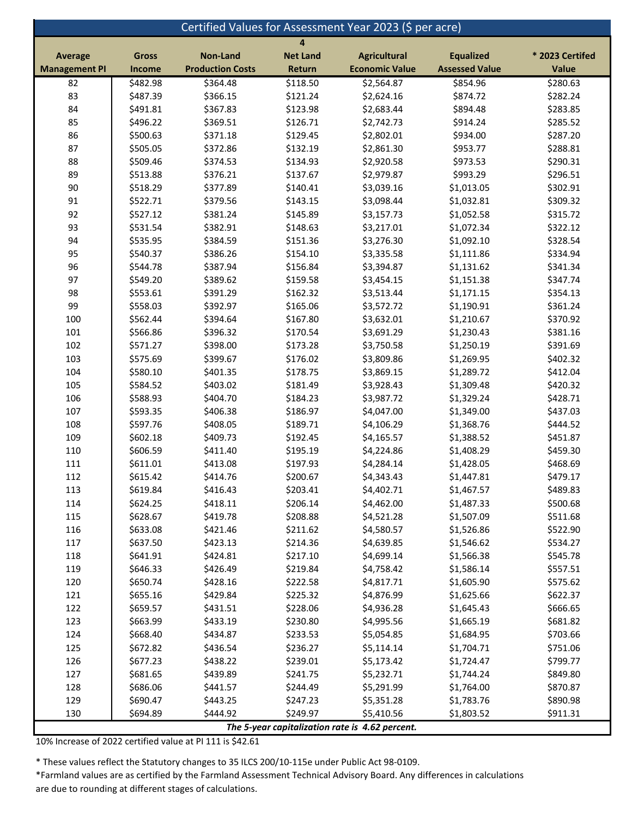| Certified Values for Assessment Year 2023 (\$ per acre) |              |                         |                 |                                                 |                       |                 |
|---------------------------------------------------------|--------------|-------------------------|-----------------|-------------------------------------------------|-----------------------|-----------------|
| 4                                                       |              |                         |                 |                                                 |                       |                 |
| <b>Average</b>                                          | <b>Gross</b> | <b>Non-Land</b>         | <b>Net Land</b> | <b>Agricultural</b>                             | <b>Equalized</b>      | * 2023 Certifed |
| <b>Management PI</b>                                    | Income       | <b>Production Costs</b> | Return          | <b>Economic Value</b>                           | <b>Assessed Value</b> | Value           |
| 82                                                      | \$482.98     | \$364.48                | \$118.50        | \$2,564.87                                      | \$854.96              | \$280.63        |
| 83                                                      | \$487.39     | \$366.15                | \$121.24        | \$2,624.16                                      | \$874.72              | \$282.24        |
| 84                                                      | \$491.81     | \$367.83                | \$123.98        | \$2,683.44                                      | \$894.48              | \$283.85        |
| 85                                                      | \$496.22     | \$369.51                | \$126.71        | \$2,742.73                                      | \$914.24              | \$285.52        |
| 86                                                      | \$500.63     | \$371.18                | \$129.45        | \$2,802.01                                      | \$934.00              | \$287.20        |
| 87                                                      | \$505.05     | \$372.86                | \$132.19        | \$2,861.30                                      | \$953.77              | \$288.81        |
| 88                                                      | \$509.46     | \$374.53                | \$134.93        | \$2,920.58                                      | \$973.53              | \$290.31        |
| 89                                                      | \$513.88     | \$376.21                | \$137.67        | \$2,979.87                                      | \$993.29              | \$296.51        |
| $90\,$                                                  | \$518.29     | \$377.89                | \$140.41        | \$3,039.16                                      | \$1,013.05            | \$302.91        |
| 91                                                      | \$522.71     | \$379.56                | \$143.15        | \$3,098.44                                      | \$1,032.81            | \$309.32        |
| 92                                                      | \$527.12     | \$381.24                | \$145.89        | \$3,157.73                                      | \$1,052.58            | \$315.72        |
| 93                                                      | \$531.54     | \$382.91                | \$148.63        | \$3,217.01                                      | \$1,072.34            | \$322.12        |
| 94                                                      | \$535.95     | \$384.59                | \$151.36        | \$3,276.30                                      | \$1,092.10            | \$328.54        |
| 95                                                      | \$540.37     | \$386.26                | \$154.10        | \$3,335.58                                      | \$1,111.86            | \$334.94        |
| 96                                                      | \$544.78     | \$387.94                | \$156.84        | \$3,394.87                                      | \$1,131.62            | \$341.34        |
| 97                                                      | \$549.20     | \$389.62                | \$159.58        | \$3,454.15                                      | \$1,151.38            | \$347.74        |
| 98                                                      | \$553.61     | \$391.29                | \$162.32        | \$3,513.44                                      | \$1,171.15            | \$354.13        |
| 99                                                      | \$558.03     | \$392.97                | \$165.06        | \$3,572.72                                      | \$1,190.91            | \$361.24        |
| 100                                                     | \$562.44     | \$394.64                | \$167.80        | \$3,632.01                                      | \$1,210.67            | \$370.92        |
| 101                                                     | \$566.86     | \$396.32                | \$170.54        | \$3,691.29                                      | \$1,230.43            | \$381.16        |
| 102                                                     | \$571.27     | \$398.00                | \$173.28        | \$3,750.58                                      | \$1,250.19            | \$391.69        |
| 103                                                     | \$575.69     | \$399.67                | \$176.02        | \$3,809.86                                      | \$1,269.95            | \$402.32        |
| 104                                                     | \$580.10     | \$401.35                | \$178.75        | \$3,869.15                                      | \$1,289.72            | \$412.04        |
| 105                                                     | \$584.52     | \$403.02                | \$181.49        | \$3,928.43                                      | \$1,309.48            | \$420.32        |
| 106                                                     | \$588.93     | \$404.70                | \$184.23        | \$3,987.72                                      | \$1,329.24            | \$428.71        |
| 107                                                     | \$593.35     | \$406.38                | \$186.97        | \$4,047.00                                      | \$1,349.00            | \$437.03        |
| 108                                                     | \$597.76     | \$408.05                | \$189.71        | \$4,106.29                                      | \$1,368.76            | \$444.52        |
| 109                                                     | \$602.18     | \$409.73                | \$192.45        | \$4,165.57                                      | \$1,388.52            | \$451.87        |
| 110                                                     | \$606.59     | \$411.40                | \$195.19        | \$4,224.86                                      | \$1,408.29            | \$459.30        |
| 111                                                     | \$611.01     | \$413.08                | \$197.93        | \$4,284.14                                      | \$1,428.05            | \$468.69        |
| 112                                                     | \$615.42     | \$414.76                | \$200.67        | \$4,343.43                                      | \$1,447.81            | \$479.17        |
| 113                                                     | \$619.84     | \$416.43                | \$203.41        | \$4,402.71                                      | \$1,467.57            | \$489.83        |
| 114                                                     | \$624.25     | \$418.11                | \$206.14        | \$4,462.00                                      | \$1,487.33            | \$500.68        |
| 115                                                     | \$628.67     | \$419.78                | \$208.88        | \$4,521.28                                      | \$1,507.09            | \$511.68        |
| 116                                                     | \$633.08     | \$421.46                | \$211.62        | \$4,580.57                                      | \$1,526.86            | \$522.90        |
| 117                                                     | \$637.50     | \$423.13                | \$214.36        | \$4,639.85                                      | \$1,546.62            | \$534.27        |
| 118                                                     | \$641.91     | \$424.81                | \$217.10        | \$4,699.14                                      | \$1,566.38            | \$545.78        |
| 119                                                     | \$646.33     | \$426.49                | \$219.84        | \$4,758.42                                      | \$1,586.14            | \$557.51        |
| 120                                                     | \$650.74     | \$428.16                | \$222.58        | \$4,817.71                                      | \$1,605.90            | \$575.62        |
| 121                                                     | \$655.16     | \$429.84                | \$225.32        | \$4,876.99                                      | \$1,625.66            | \$622.37        |
| 122                                                     | \$659.57     | \$431.51                | \$228.06        | \$4,936.28                                      | \$1,645.43            | \$666.65        |
| 123                                                     | \$663.99     | \$433.19                | \$230.80        | \$4,995.56                                      | \$1,665.19            | \$681.82        |
| 124                                                     | \$668.40     | \$434.87                | \$233.53        | \$5,054.85                                      | \$1,684.95            | \$703.66        |
| 125                                                     | \$672.82     | \$436.54                | \$236.27        | \$5,114.14                                      | \$1,704.71            | \$751.06        |
| 126                                                     | \$677.23     | \$438.22                | \$239.01        | \$5,173.42                                      | \$1,724.47            | \$799.77        |
| 127                                                     | \$681.65     | \$439.89                | \$241.75        | \$5,232.71                                      | \$1,744.24            | \$849.80        |
| 128                                                     | \$686.06     | \$441.57                | \$244.49        | \$5,291.99                                      | \$1,764.00            | \$870.87        |
| 129                                                     | \$690.47     | \$443.25                | \$247.23        | \$5,351.28                                      | \$1,783.76            | \$890.98        |
| 130                                                     | \$694.89     | \$444.92                | \$249.97        | \$5,410.56                                      | \$1,803.52            | \$911.31        |
|                                                         |              |                         |                 | The 5-year capitalization rate is 4.62 percent. |                       |                 |

10% Increase of 2022 certified value at PI 111 is \$42.61

\* These values reflect the Statutory changes to 35 ILCS 200/10-115e under Public Act 98-0109.

\*Farmland values are as certified by the Farmland Assessment Technical Advisory Board. Any differences in calculations are due to rounding at different stages of calculations.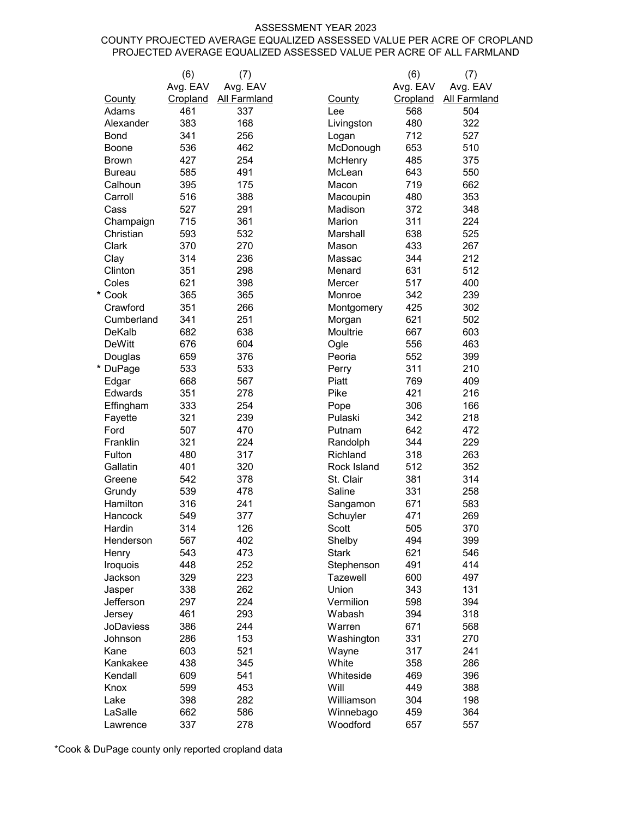#### ASSESSMENT YEAR 2023

#### COUNTY PROJECTED AVERAGE EQUALIZED ASSESSED VALUE PER ACRE OF CROPLAND PROJECTED AVERAGE EQUALIZED ASSESSED VALUE PER ACRE OF ALL FARMLAND

|                      | (6)        | (7)                 |                      | (6)        | (7)                 |
|----------------------|------------|---------------------|----------------------|------------|---------------------|
|                      | Avg. EAV   | Avg. EAV            |                      | Avg. EAV   | Avg. EAV            |
| County               | Cropland   | <b>All Farmland</b> | County               | Cropland   | <b>All Farmland</b> |
| Adams                | 461        | 337                 | Lee                  | 568        | 504                 |
| Alexander            | 383        | 168                 | Livingston           | 480        | 322                 |
| <b>Bond</b>          | 341        | 256                 | Logan                | 712        | 527                 |
| Boone                | 536        | 462                 | McDonough            | 653        | 510                 |
| <b>Brown</b>         | 427        | 254                 | McHenry              | 485        | 375                 |
| Bureau               | 585        | 491                 | McLean               | 643        | 550                 |
| Calhoun              | 395        | 175                 | Macon                | 719        | 662                 |
| Carroll              | 516        | 388                 | Macoupin             | 480        | 353                 |
| Cass                 | 527        | 291                 | Madison              | 372        | 348                 |
| Champaign            | 715        | 361                 | Marion               | 311        | 224                 |
| Christian            | 593        | 532                 | Marshall             | 638        | 525                 |
| Clark                | 370        | 270                 | Mason                | 433        | 267                 |
| Clay                 | 314        | 236                 | Massac               | 344        | 212                 |
| Clinton              | 351        | 298                 | Menard               | 631        | 512                 |
| Coles                | 621        | 398                 | Mercer               | 517        | 400                 |
| * Cook               | 365        | 365                 | Monroe               | 342        | 239                 |
| Crawford             | 351        | 266                 | Montgomery           | 425        | 302                 |
| Cumberland           | 341        | 251                 | Morgan               | 621        | 502                 |
| <b>DeKalb</b>        | 682        | 638                 | Moultrie             | 667        | 603                 |
| <b>DeWitt</b>        | 676        | 604                 | Ogle                 | 556        | 463                 |
| Douglas              | 659        | 376                 | Peoria               | 552        | 399                 |
| * DuPage             | 533        | 533                 | Perry                | 311        | 210                 |
| Edgar                | 668        | 567                 | Piatt                | 769        | 409                 |
| Edwards              | 351        | 278                 | Pike                 | 421        | 216                 |
| Effingham            | 333        | 254                 | Pope                 | 306        | 166                 |
| Fayette              | 321        | 239                 | Pulaski              | 342        | 218                 |
| Ford                 | 507        | 470                 | Putnam               | 642        | 472                 |
| Franklin             | 321        | 224                 | Randolph             | 344        | 229                 |
| Fulton               | 480        | 317                 | Richland             | 318        | 263                 |
| Gallatin             | 401        | 320                 | Rock Island          | 512        | 352                 |
| Greene               | 542        | 378                 | St. Clair            | 381        | 314                 |
| Grundy               | 539        | 478                 | Saline               | 331        | 258                 |
| Hamilton             | 316        | 241                 | Sangamon             | 671        | 583                 |
| Hancock              | 549        | 377                 | Schuyler             | 471        | 269                 |
| Hardin               | 314        | 126                 | Scott                | 505        | 370                 |
| Henderson            | 567        | 402                 | Shelby               | 494        | 399                 |
| Henry                | 543        | 473                 | <b>Stark</b>         | 621        | 546                 |
| Iroquois             | 448        | 252                 | Stephenson           | 491        | 414                 |
| Jackson              | 329        | 223                 | Tazewell             | 600        | 497                 |
| Jasper               | 338        | 262                 | Union                | 343        | 131                 |
| Jefferson            | 297        | 224                 | Vermilion            | 598        | 394                 |
| Jersey               | 461        | 293                 | Wabash               | 394        | 318                 |
| JoDaviess<br>Johnson | 386<br>286 | 244<br>153          | Warren<br>Washington | 671<br>331 | 568<br>270          |
|                      |            | 521                 |                      |            |                     |
| Kane                 | 603        |                     | Wayne                | 317        | 241                 |
| Kankakee<br>Kendall  | 438<br>609 | 345<br>541          | White<br>Whiteside   | 358<br>469 | 286<br>396          |
| Knox                 | 599        | 453                 | Will                 | 449        | 388                 |
| Lake                 | 398        | 282                 | Williamson           | 304        | 198                 |
| LaSalle              | 662        | 586                 | Winnebago            | 459        | 364                 |
| Lawrence             | 337        | 278                 | Woodford             | 657        | 557                 |
|                      |            |                     |                      |            |                     |

\*Cook & DuPage county only reported cropland data